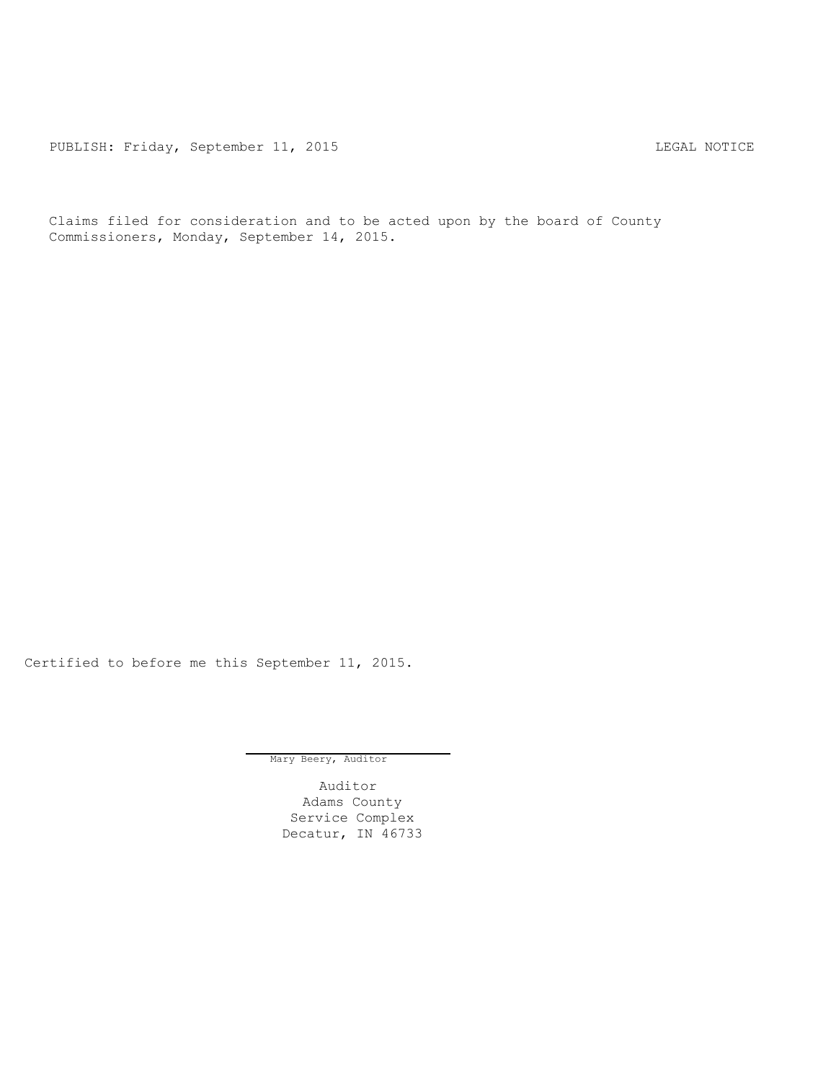PUBLISH: Friday, September 11, 2015 CHA CHANGE CONTROLLY AND THE LEGAL NOTICE

Claims filed for consideration and to be acted upon by the board of County Commissioners, Monday, September 14, 2015.

Certified to before me this September 11, 2015.

Mary Beery, Auditor

Auditor Adams County Service Complex Decatur, IN 46733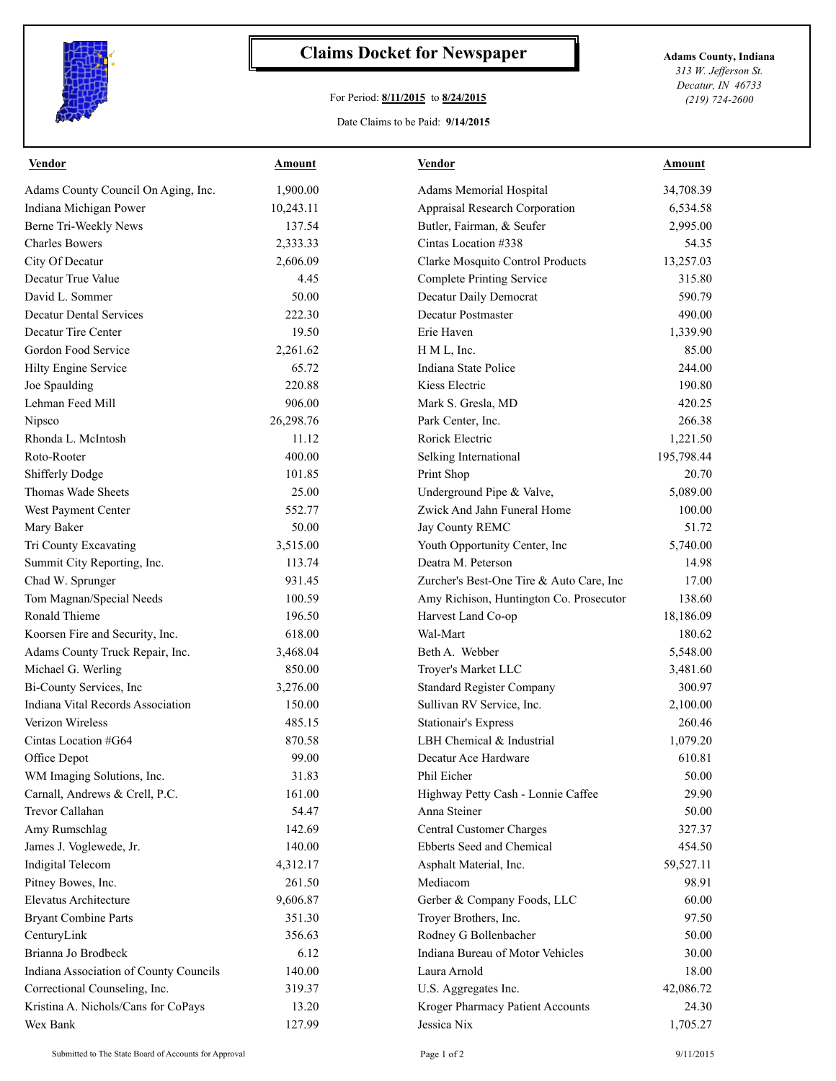

## **Claims Docket for Newspaper Adams County, Indiana**

## For Period: **8/11/2015** to **8/24/2015**

*313 W. Jefferson St. Decatur, IN 46733 (219) 724-2600*

Date Claims to be Paid: **9/14/2015**

| Vendor                                 | Amount    | Vendor                                   | Amount     |
|----------------------------------------|-----------|------------------------------------------|------------|
| Adams County Council On Aging, Inc.    | 1,900.00  | Adams Memorial Hospital                  | 34,708.39  |
| Indiana Michigan Power                 | 10,243.11 | Appraisal Research Corporation           | 6,534.58   |
| Berne Tri-Weekly News                  | 137.54    | Butler, Fairman, & Seufer                | 2,995.00   |
| <b>Charles Bowers</b>                  | 2,333.33  | Cintas Location #338                     | 54.35      |
| City Of Decatur                        | 2,606.09  | Clarke Mosquito Control Products         | 13,257.03  |
| Decatur True Value                     | 4.45      | Complete Printing Service                | 315.80     |
| David L. Sommer                        | 50.00     | Decatur Daily Democrat                   | 590.79     |
| <b>Decatur Dental Services</b>         | 222.30    | <b>Decatur Postmaster</b>                | 490.00     |
| Decatur Tire Center                    | 19.50     | Erie Haven                               | 1,339.90   |
| Gordon Food Service                    | 2,261.62  | H M L, Inc.                              | 85.00      |
| Hilty Engine Service                   | 65.72     | Indiana State Police                     | 244.00     |
| Joe Spaulding                          | 220.88    | Kiess Electric                           | 190.80     |
| Lehman Feed Mill                       | 906.00    | Mark S. Gresla, MD                       | 420.25     |
| Nipsco                                 | 26,298.76 | Park Center, Inc.                        | 266.38     |
| Rhonda L. McIntosh                     | 11.12     | Rorick Electric                          | 1,221.50   |
| Roto-Rooter                            | 400.00    | Selking International                    | 195,798.44 |
| <b>Shifferly Dodge</b>                 | 101.85    | Print Shop                               | 20.70      |
| Thomas Wade Sheets                     | 25.00     | Underground Pipe & Valve,                | 5,089.00   |
| West Payment Center                    | 552.77    | Zwick And Jahn Funeral Home              | 100.00     |
| Mary Baker                             | 50.00     | Jay County REMC                          | 51.72      |
| Tri County Excavating                  | 3,515.00  | Youth Opportunity Center, Inc            | 5,740.00   |
| Summit City Reporting, Inc.            | 113.74    | Deatra M. Peterson                       | 14.98      |
| Chad W. Sprunger                       | 931.45    | Zurcher's Best-One Tire & Auto Care, Inc | 17.00      |
| Tom Magnan/Special Needs               | 100.59    | Amy Richison, Huntington Co. Prosecutor  | 138.60     |
| <b>Ronald Thieme</b>                   | 196.50    | Harvest Land Co-op                       | 18,186.09  |
| Koorsen Fire and Security, Inc.        | 618.00    | Wal-Mart                                 | 180.62     |
| Adams County Truck Repair, Inc.        | 3,468.04  | Beth A. Webber                           | 5,548.00   |
| Michael G. Werling                     | 850.00    | Troyer's Market LLC                      | 3,481.60   |
| Bi-County Services, Inc                | 3,276.00  | <b>Standard Register Company</b>         | 300.97     |
| Indiana Vital Records Association      | 150.00    | Sullivan RV Service, Inc.                | 2,100.00   |
| Verizon Wireless                       | 485.15    | <b>Stationair's Express</b>              | 260.46     |
| Cintas Location #G64                   | 870.58    | LBH Chemical & Industrial                | 1,079.20   |
| Office Depot                           | 99.00     | Decatur Ace Hardware                     | 610.81     |
| WM Imaging Solutions, Inc.             | 31.83     | Phil Eicher                              | 50.00      |
| Carnall, Andrews & Crell, P.C.         | 161.00    | Highway Petty Cash - Lonnie Caffee       | 29.90      |
| Trevor Callahan                        | 54.47     | Anna Steiner                             | 50.00      |
| Amy Rumschlag                          | 142.69    | <b>Central Customer Charges</b>          | 327.37     |
| James J. Voglewede, Jr.                | 140.00    | Ebberts Seed and Chemical                | 454.50     |
| <b>Indigital Telecom</b>               | 4,312.17  | Asphalt Material, Inc.                   | 59,527.11  |
| Pitney Bowes, Inc.                     | 261.50    | Mediacom                                 | 98.91      |
| Elevatus Architecture                  | 9,606.87  | Gerber & Company Foods, LLC              | 60.00      |
| <b>Bryant Combine Parts</b>            | 351.30    | Troyer Brothers, Inc.                    | 97.50      |
| CenturyLink                            | 356.63    | Rodney G Bollenbacher                    | 50.00      |
| Brianna Jo Brodbeck                    | 6.12      | Indiana Bureau of Motor Vehicles         | 30.00      |
| Indiana Association of County Councils | 140.00    | Laura Arnold                             | 18.00      |
| Correctional Counseling, Inc.          | 319.37    | U.S. Aggregates Inc.                     | 42,086.72  |
| Kristina A. Nichols/Cans for CoPays    | 13.20     | Kroger Pharmacy Patient Accounts         | 24.30      |
| Wex Bank                               | 127.99    | Jessica Nix                              | 1,705.27   |